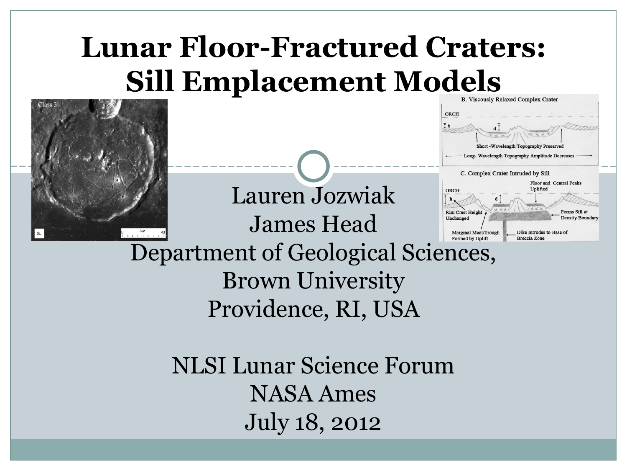#### **Lunar Floor-Fractured Craters:** Sill Emplacement Models





Dike Intrudes to Base o

**Breccia Zone** 

Marginal Moat/Trough Formed by Uplift Department of Geological Sciences, Brown University Providence, RI, USA

Lauren Jozwiak

James Head

NLSI Lunar Science Forum NASA Ames July 18, 2012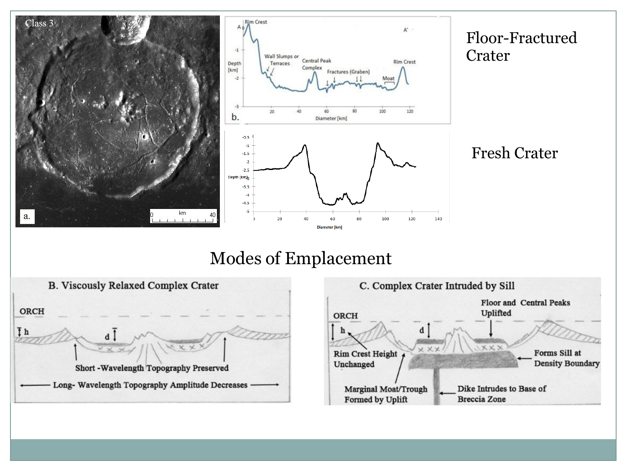

#### Modes of Emplacement



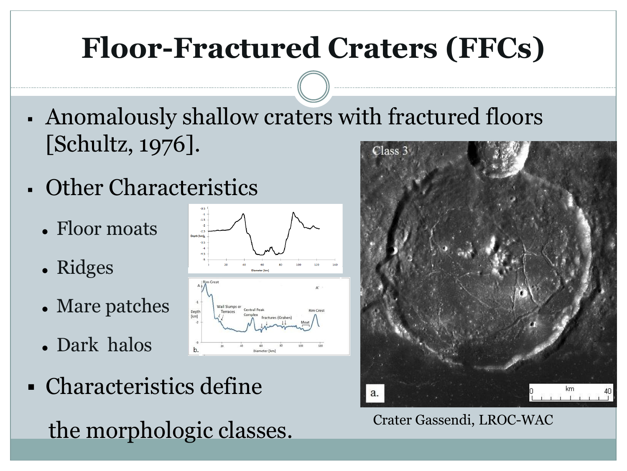#### **Floor-Fractured Craters (FFCs)**

- Anomalously shallow craters with fractured floors [Schultz, 1976].  $Class 3$
- Other Characteristics
	- Floor moats
	- Ridges
	- Mare patches
	- Dark halos
- Characteristics define the morphologic classes. Crater Gassendi, LROC-WAC



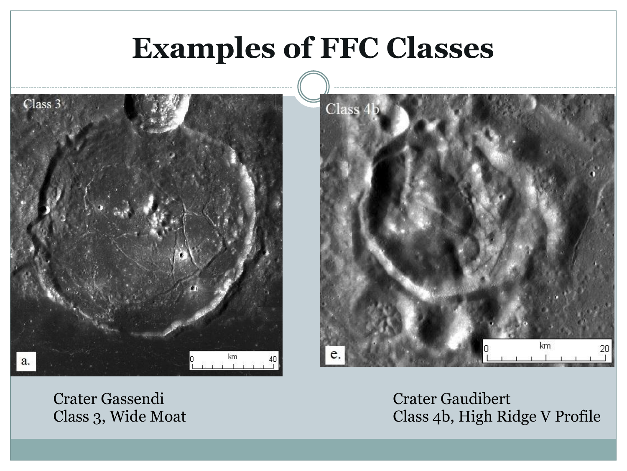#### **Examples of FFC Classes**





Crater Gassendi Class 3, Wide Moat Crater Gaudibert Class 4b, High Ridge V Profile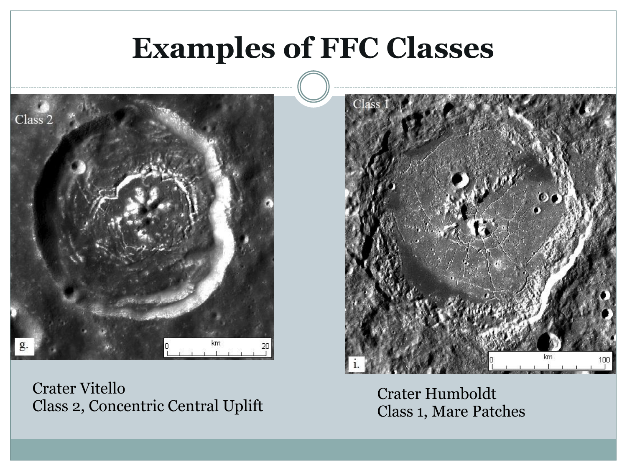#### **Examples of FFC Classes**



Crater Vitello Class 2, Concentric Central Uplift

Crater Humboldt Class 1, Mare Patches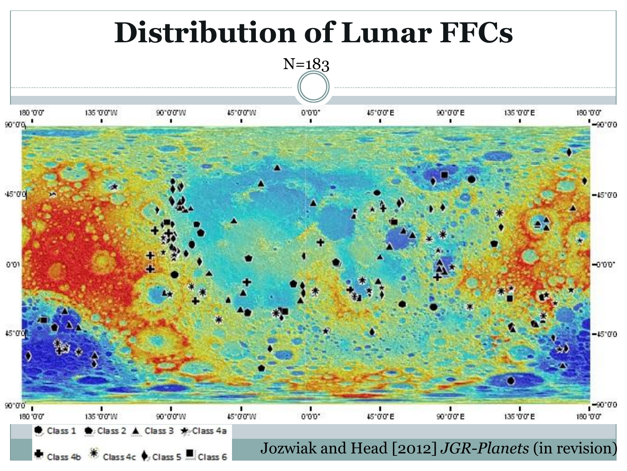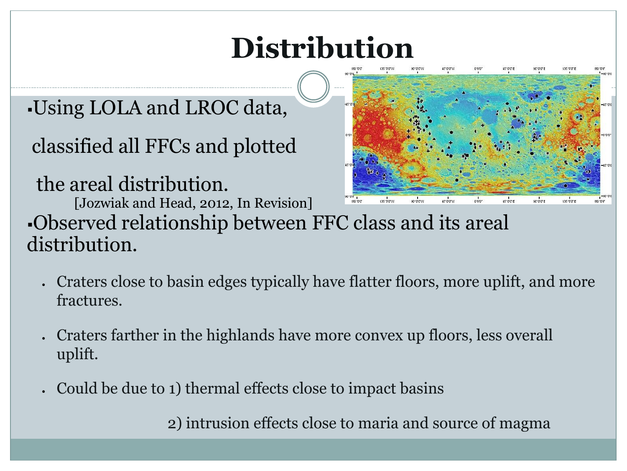### **Distribution**

#### Using LOLA and LROC data,

classified all FFCs and plotted

the areal distribution.

[Jozwiak and Head, 2012, In Revision]



Observed relationship between FFC class and its areal distribution.

- Craters close to basin edges typically have flatter floors, more uplift, and more fractures.
- Craters farther in the highlands have more convex up floors, less overall uplift.
- Could be due to 1) thermal effects close to impact basins

2) intrusion effects close to maria and source of magma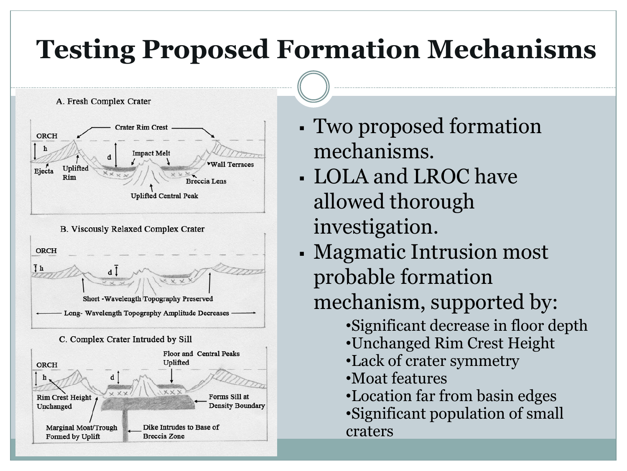#### **Testing Proposed Formation Mechanisms**



- Two proposed formation mechanisms.
- LOLA and LROC have allowed thorough investigation.
- Magmatic Intrusion most probable formation mechanism, supported by:
	- •Significant decrease in floor depth
	- •Unchanged Rim Crest Height
	- •Lack of crater symmetry
	- •Moat features
	- •Location far from basin edges
	- •Significant population of small craters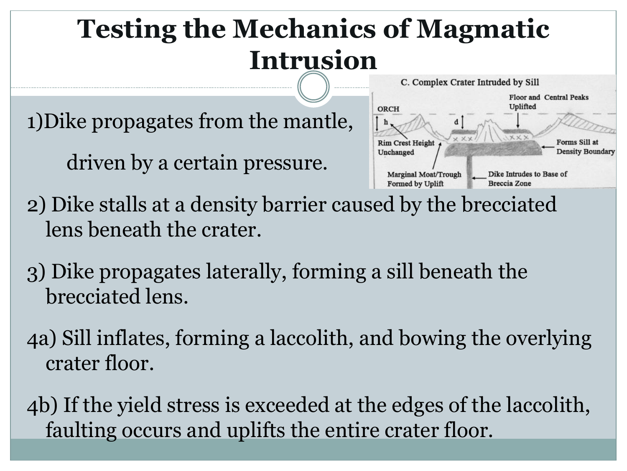#### **Testing the Mechanics of Magmatic Intrusion**

1)Dike propagates from the mantle,

driven by a certain pressure.



- 2) Dike stalls at a density barrier caused by the brecciated lens beneath the crater.
- 3) Dike propagates laterally, forming a sill beneath the brecciated lens.
- 4a) Sill inflates, forming a laccolith, and bowing the overlying crater floor.
- 4b) If the yield stress is exceeded at the edges of the laccolith, faulting occurs and uplifts the entire crater floor.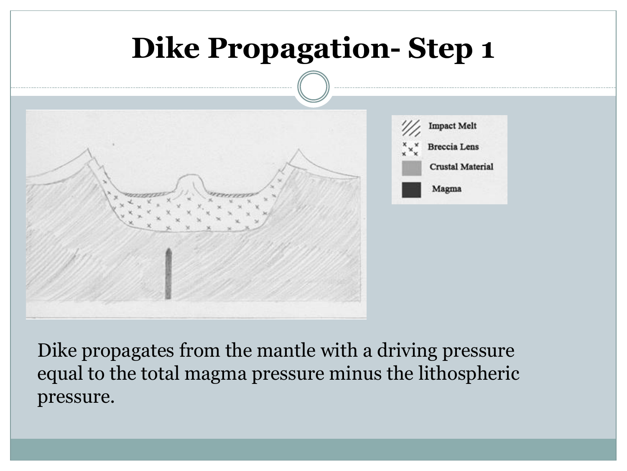

Dike propagates from the mantle with a driving pressure equal to the total magma pressure minus the lithospheric pressure.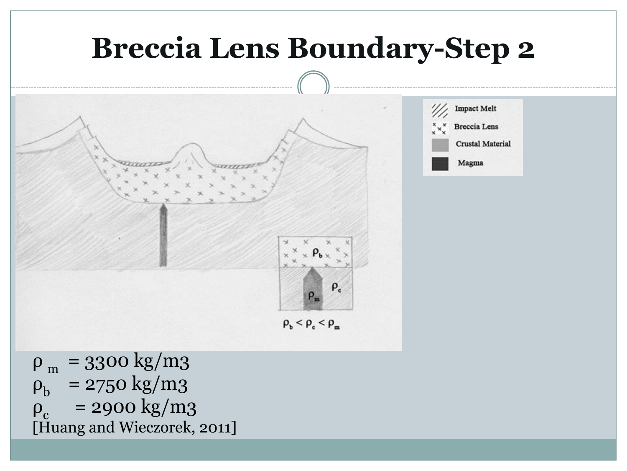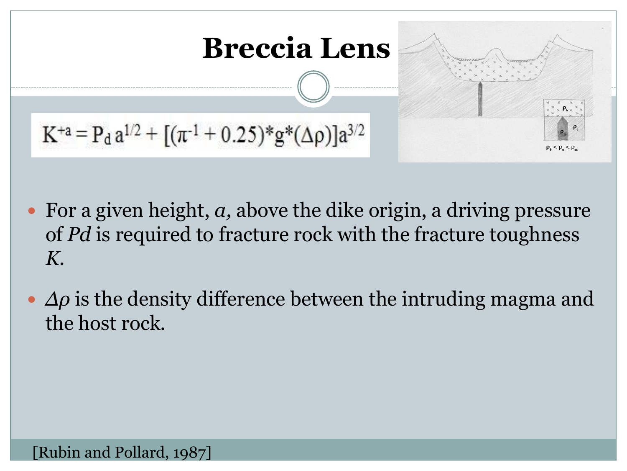

- For a given height, *a,* above the dike origin, a driving pressure of *Pd* is required to fracture rock with the fracture toughness *K.*
- *Δρ* is the density difference between the intruding magma and the host rock.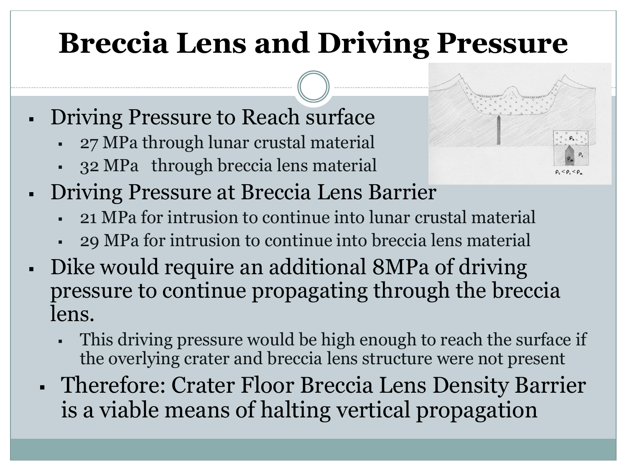#### **Breccia Lens and Driving Pressure**

- Driving Pressure to Reach surface
	- 27 MPa through lunar crustal material
	- 32 MPa through breccia lens material
- Driving Pressure at Breccia Lens Barrier
	- 21 MPa for intrusion to continue into lunar crustal material
	- 29 MPa for intrusion to continue into breccia lens material
- Dike would require an additional 8MPa of driving pressure to continue propagating through the breccia lens.
	- This driving pressure would be high enough to reach the surface if the overlying crater and breccia lens structure were not present
	- Therefore: Crater Floor Breccia Lens Density Barrier is a viable means of halting vertical propagation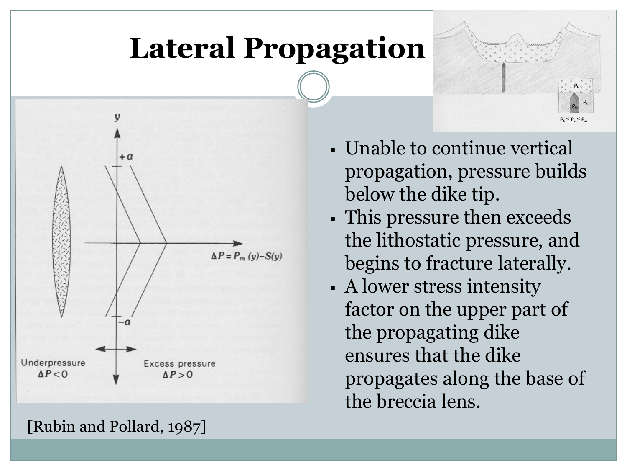#### **Lateral Propagation**



- Unable to continue vertical propagation, pressure builds below the dike tip.
- This pressure then exceeds the lithostatic pressure, and begins to fracture laterally.
- A lower stress intensity factor on the upper part of the propagating dike ensures that the dike propagates along the base of the breccia lens.

[Rubin and Pollard, 1987]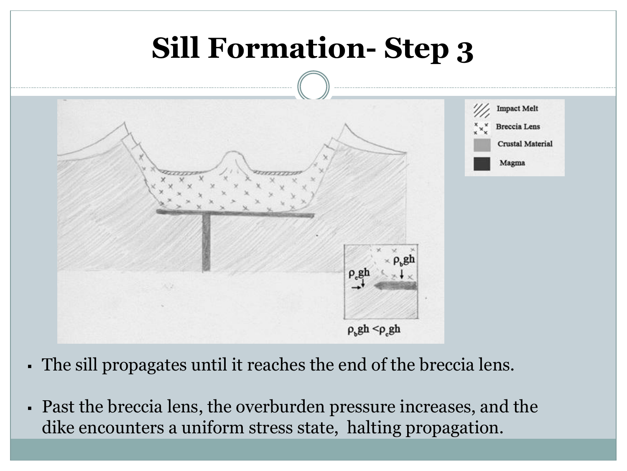

- The sill propagates until it reaches the end of the breccia lens.
- Past the breccia lens, the overburden pressure increases, and the dike encounters a uniform stress state, halting propagation.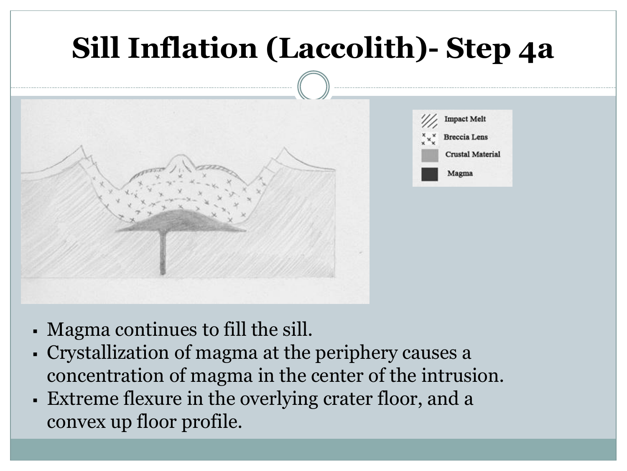# **Sill Inflation (Laccolith)- Step 4a Impact Melt Breccia** Lens **Crustal Material** Magma

- Magma continues to fill the sill.
- Crystallization of magma at the periphery causes a concentration of magma in the center of the intrusion.
- Extreme flexure in the overlying crater floor, and a convex up floor profile.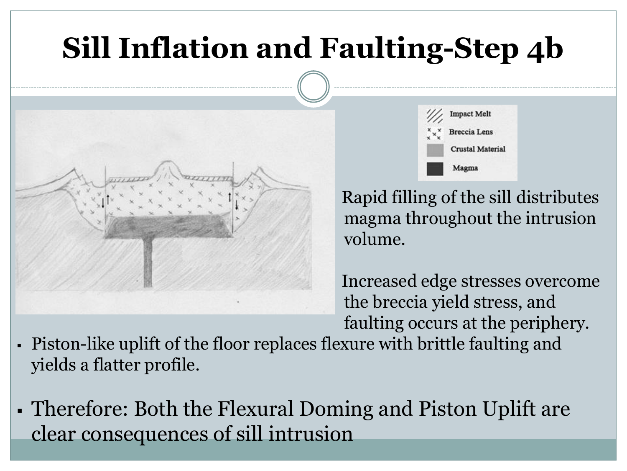### **Sill Inflation and Faulting-Step 4b**



**Impact Melt Breccia** Lens **Crustal Material** Magma

 Rapid filling of the sill distributes magma throughout the intrusion volume.

 Increased edge stresses overcome the breccia yield stress, and faulting occurs at the periphery.

- Piston-like uplift of the floor replaces flexure with brittle faulting and yields a flatter profile.
- Therefore: Both the Flexural Doming and Piston Uplift are clear consequences of sill intrusion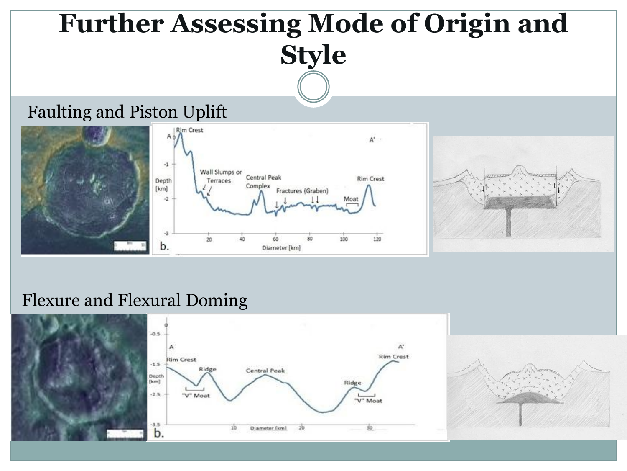#### **Further Assessing Mode of Origin and Style**

#### Faulting and Piston Uplift



#### Flexure and Flexural Doming



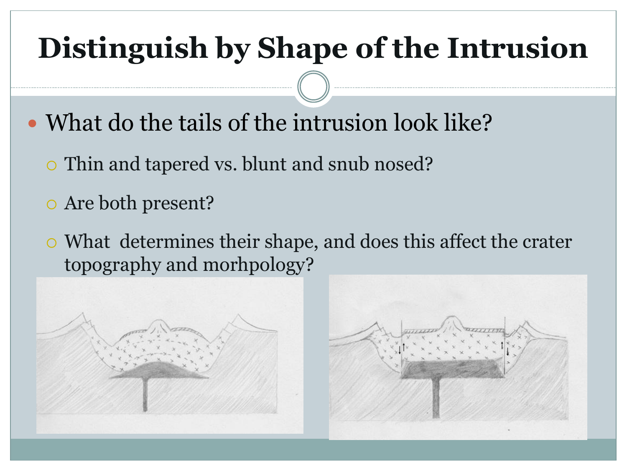### **Distinguish by Shape of the Intrusion**

- What do the tails of the intrusion look like?
	- Thin and tapered vs. blunt and snub nosed?
	- Are both present?
	- What determines their shape, and does this affect the crater topography and morhpology?